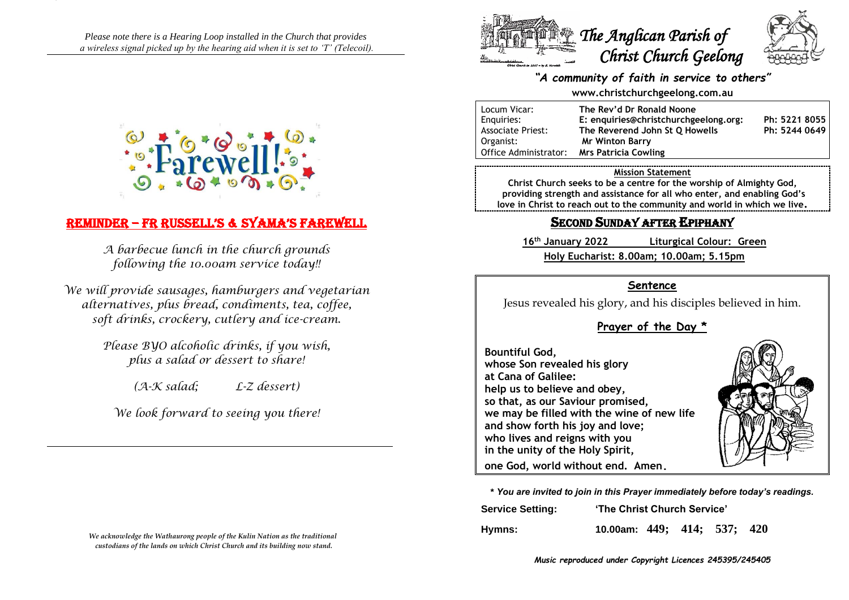*Please note there is a Hearing Loop installed in the Church that provides a wireless signal picked up by the hearing aid when it is set to 'T' (Telecoil).*



# Reminder – Fr russell's & syama's Farewell

*A barbecue lunch in the church grounds following the 10.00am service today!!*

*We will provide sausages, hamburgers and vegetarian alternatives, plus bread, condiments, tea, coffee, soft drinks, crockery, cutlery and ice-cream.*

> *Please BYO alcoholic drinks, if you wish, plus a salad or dessert to share!*

> > *(A-K salad; L-Z dessert)*

*We look forward to seeing you there!*

*We acknowledge the Wathaurong people of the Kulin Nation as the traditional custodians of the lands on which Christ Church and its building now stand.*



# *"A community of faith in service to others"*

### **www.christchurchgeelong.com.au**

| Locum Vicar:             | The Rev'd Dr Ronald Noone             |               |
|--------------------------|---------------------------------------|---------------|
| Enguiries:               | E: enquiries@christchurchgeelong.org: | Ph: 5221 8055 |
| <b>Associate Priest:</b> | The Reverend John St Q Howells        | Ph: 5244 0649 |
| Organist:                | <b>Mr Winton Barry</b>                |               |
| Office Administrator:    | <b>Mrs Patricia Cowling</b>           |               |

### **Mission Statement**

**Christ Church seeks to be a centre for the worship of Almighty God, providing strength and assistance for all who enter, and enabling God's love in Christ to reach out to the community and world in which we live.**

# SECOND SUNDAY AFTER EPIPHANY

**16th January 2022 Liturgical Colour: Green Holy Eucharist: 8.00am; 10.00am; 5.15pm**

# **Sentence**

Jesus revealed his glory, and his disciples believed in him.

# **Prayer of the Day \***

**Bountiful God, whose Son revealed his glory at Cana of Galilee: help us to believe and obey, so that, as our Saviour promised, we may be filled with the wine of new life and show forth his joy and love; who lives and reigns with you in the unity of the Holy Spirit,**



**one God, world without end. Amen.**

**\*** *You are invited to join in this Prayer immediately before today's readings.*

| <b>Service Setting:</b> | 'The Christ Church Service' |  |  |  |  |
|-------------------------|-----------------------------|--|--|--|--|
| Hymns:                  | 10.00am: 449; 414; 537; 420 |  |  |  |  |